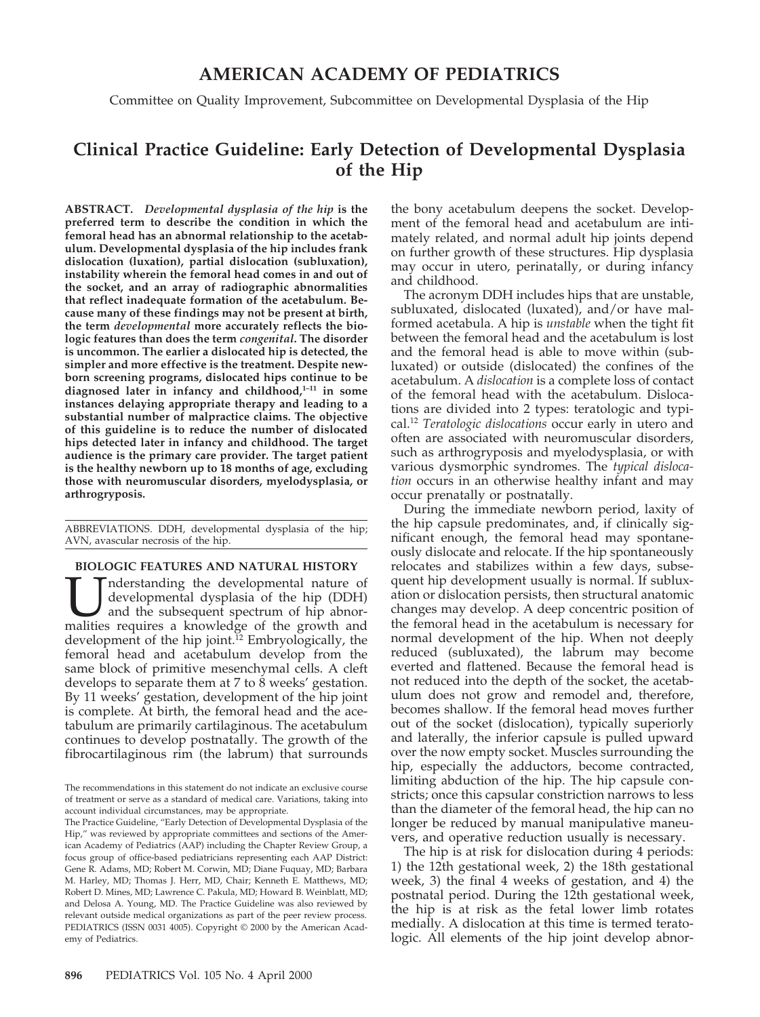# **AMERICAN ACADEMY OF PEDIATRICS**

Committee on Quality Improvement, Subcommittee on Developmental Dysplasia of the Hip

# **Clinical Practice Guideline: Early Detection of Developmental Dysplasia of the Hip**

**ABSTRACT.** *Developmental dysplasia of the hip* **is the preferred term to describe the condition in which the femoral head has an abnormal relationship to the acetabulum. Developmental dysplasia of the hip includes frank dislocation (luxation), partial dislocation (subluxation), instability wherein the femoral head comes in and out of the socket, and an array of radiographic abnormalities that reflect inadequate formation of the acetabulum. Because many of these findings may not be present at birth, the term** *developmental* **more accurately reflects the biologic features than does the term** *congenital***. The disorder is uncommon. The earlier a dislocated hip is detected, the simpler and more effective is the treatment. Despite newborn screening programs, dislocated hips continue to be diagnosed later in infancy and childhood,1–11 in some instances delaying appropriate therapy and leading to a substantial number of malpractice claims. The objective of this guideline is to reduce the number of dislocated hips detected later in infancy and childhood. The target audience is the primary care provider. The target patient is the healthy newborn up to 18 months of age, excluding those with neuromuscular disorders, myelodysplasia, or arthrogryposis.**

ABBREVIATIONS. DDH, developmental dysplasia of the hip; AVN, avascular necrosis of the hip.

### **BIOLOGIC FEATURES AND NATURAL HISTORY**

Understanding the developmental nature of developmental dysplasia of the hip (DDH) and the subsequent spectrum of hip abnormalities requires a knowledge of the growth and developmental dysplasia of the hip (DDH) and the subsequent spectrum of hip abnordevelopment of the hip joint.<sup>12</sup> Embryologically, the femoral head and acetabulum develop from the same block of primitive mesenchymal cells. A cleft develops to separate them at  $7$  to  $8$  weeks' gestation. By 11 weeks' gestation, development of the hip joint is complete. At birth, the femoral head and the acetabulum are primarily cartilaginous. The acetabulum continues to develop postnatally. The growth of the fibrocartilaginous rim (the labrum) that surrounds

the bony acetabulum deepens the socket. Development of the femoral head and acetabulum are intimately related, and normal adult hip joints depend on further growth of these structures. Hip dysplasia may occur in utero, perinatally, or during infancy and childhood.

The acronym DDH includes hips that are unstable, subluxated, dislocated (luxated), and/or have malformed acetabula. A hip is *unstable* when the tight fit between the femoral head and the acetabulum is lost and the femoral head is able to move within (subluxated) or outside (dislocated) the confines of the acetabulum. A *dislocation* is a complete loss of contact of the femoral head with the acetabulum. Dislocations are divided into 2 types: teratologic and typical.12 *Teratologic dislocations* occur early in utero and often are associated with neuromuscular disorders, such as arthrogryposis and myelodysplasia, or with various dysmorphic syndromes. The *typical dislocation* occurs in an otherwise healthy infant and may occur prenatally or postnatally.

During the immediate newborn period, laxity of the hip capsule predominates, and, if clinically significant enough, the femoral head may spontaneously dislocate and relocate. If the hip spontaneously relocates and stabilizes within a few days, subsequent hip development usually is normal. If subluxation or dislocation persists, then structural anatomic changes may develop. A deep concentric position of the femoral head in the acetabulum is necessary for normal development of the hip. When not deeply reduced (subluxated), the labrum may become everted and flattened. Because the femoral head is not reduced into the depth of the socket, the acetabulum does not grow and remodel and, therefore, becomes shallow. If the femoral head moves further out of the socket (dislocation), typically superiorly and laterally, the inferior capsule is pulled upward over the now empty socket. Muscles surrounding the hip, especially the adductors, become contracted, limiting abduction of the hip. The hip capsule constricts; once this capsular constriction narrows to less than the diameter of the femoral head, the hip can no longer be reduced by manual manipulative maneuvers, and operative reduction usually is necessary.

The hip is at risk for dislocation during 4 periods: 1) the 12th gestational week, 2) the 18th gestational week, 3) the final 4 weeks of gestation, and 4) the postnatal period. During the 12th gestational week, the hip is at risk as the fetal lower limb rotates medially. A dislocation at this time is termed teratologic. All elements of the hip joint develop abnor-

The recommendations in this statement do not indicate an exclusive course of treatment or serve as a standard of medical care. Variations, taking into account individual circumstances, may be appropriate.

The Practice Guideline, "Early Detection of Developmental Dysplasia of the Hip," was reviewed by appropriate committees and sections of the American Academy of Pediatrics (AAP) including the Chapter Review Group, a focus group of office-based pediatricians representing each AAP District: Gene R. Adams, MD; Robert M. Corwin, MD; Diane Fuquay, MD; Barbara M. Harley, MD; Thomas J. Herr, MD, Chair; Kenneth E. Matthews, MD; Robert D. Mines, MD; Lawrence C. Pakula, MD; Howard B. Weinblatt, MD; and Delosa A. Young, MD. The Practice Guideline was also reviewed by relevant outside medical organizations as part of the peer review process. PEDIATRICS (ISSN 0031 4005). Copyright © 2000 by the American Academy of Pediatrics.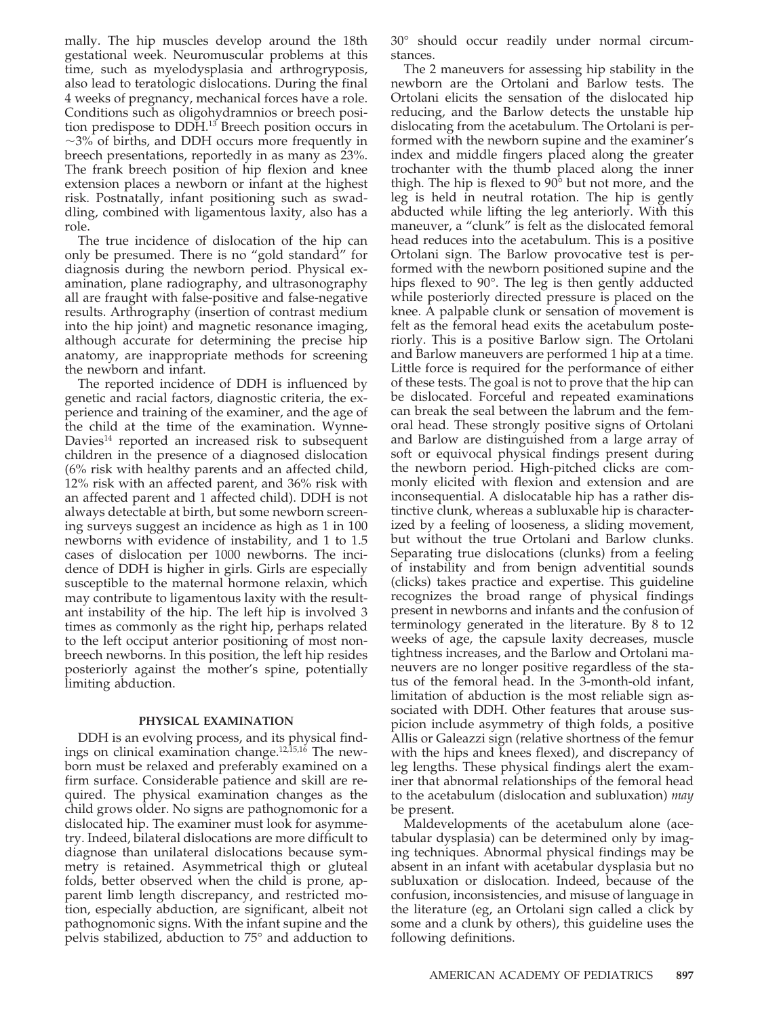mally. The hip muscles develop around the 18th gestational week. Neuromuscular problems at this time, such as myelodysplasia and arthrogryposis, also lead to teratologic dislocations. During the final 4 weeks of pregnancy, mechanical forces have a role. Conditions such as oligohydramnios or breech position predispose to DDH.<sup>13</sup> Breech position occurs in  $\sim$ 3% of births, and DDH occurs more frequently in breech presentations, reportedly in as many as 23%. The frank breech position of hip flexion and knee extension places a newborn or infant at the highest risk. Postnatally, infant positioning such as swaddling, combined with ligamentous laxity, also has a role.

The true incidence of dislocation of the hip can only be presumed. There is no "gold standard" for diagnosis during the newborn period. Physical examination, plane radiography, and ultrasonography all are fraught with false-positive and false-negative results. Arthrography (insertion of contrast medium into the hip joint) and magnetic resonance imaging, although accurate for determining the precise hip anatomy, are inappropriate methods for screening the newborn and infant.

The reported incidence of DDH is influenced by genetic and racial factors, diagnostic criteria, the experience and training of the examiner, and the age of the child at the time of the examination. Wynne-Davies<sup>14</sup> reported an increased risk to subsequent children in the presence of a diagnosed dislocation (6% risk with healthy parents and an affected child, 12% risk with an affected parent, and 36% risk with an affected parent and 1 affected child). DDH is not always detectable at birth, but some newborn screening surveys suggest an incidence as high as 1 in 100 newborns with evidence of instability, and 1 to 1.5 cases of dislocation per 1000 newborns. The incidence of DDH is higher in girls. Girls are especially susceptible to the maternal hormone relaxin, which may contribute to ligamentous laxity with the resultant instability of the hip. The left hip is involved 3 times as commonly as the right hip, perhaps related to the left occiput anterior positioning of most nonbreech newborns. In this position, the left hip resides posteriorly against the mother's spine, potentially limiting abduction.

# **PHYSICAL EXAMINATION**

DDH is an evolving process, and its physical findings on clinical examination change.12,15,16 The newborn must be relaxed and preferably examined on a firm surface. Considerable patience and skill are required. The physical examination changes as the child grows older. No signs are pathognomonic for a dislocated hip. The examiner must look for asymmetry. Indeed, bilateral dislocations are more difficult to diagnose than unilateral dislocations because symmetry is retained. Asymmetrical thigh or gluteal folds, better observed when the child is prone, apparent limb length discrepancy, and restricted motion, especially abduction, are significant, albeit not pathognomonic signs. With the infant supine and the pelvis stabilized, abduction to 75° and adduction to

30° should occur readily under normal circumstances.

The 2 maneuvers for assessing hip stability in the newborn are the Ortolani and Barlow tests. The Ortolani elicits the sensation of the dislocated hip reducing, and the Barlow detects the unstable hip dislocating from the acetabulum. The Ortolani is performed with the newborn supine and the examiner's index and middle fingers placed along the greater trochanter with the thumb placed along the inner thigh. The hip is flexed to  $90^{\circ}$  but not more, and the leg is held in neutral rotation. The hip is gently abducted while lifting the leg anteriorly. With this maneuver, a "clunk" is felt as the dislocated femoral head reduces into the acetabulum. This is a positive Ortolani sign. The Barlow provocative test is performed with the newborn positioned supine and the hips flexed to 90°. The leg is then gently adducted while posteriorly directed pressure is placed on the knee. A palpable clunk or sensation of movement is felt as the femoral head exits the acetabulum posteriorly. This is a positive Barlow sign. The Ortolani and Barlow maneuvers are performed 1 hip at a time. Little force is required for the performance of either of these tests. The goal is not to prove that the hip can be dislocated. Forceful and repeated examinations can break the seal between the labrum and the femoral head. These strongly positive signs of Ortolani and Barlow are distinguished from a large array of soft or equivocal physical findings present during the newborn period. High-pitched clicks are commonly elicited with flexion and extension and are inconsequential. A dislocatable hip has a rather distinctive clunk, whereas a subluxable hip is characterized by a feeling of looseness, a sliding movement, but without the true Ortolani and Barlow clunks. Separating true dislocations (clunks) from a feeling of instability and from benign adventitial sounds (clicks) takes practice and expertise. This guideline recognizes the broad range of physical findings present in newborns and infants and the confusion of terminology generated in the literature. By 8 to 12 weeks of age, the capsule laxity decreases, muscle tightness increases, and the Barlow and Ortolani maneuvers are no longer positive regardless of the status of the femoral head. In the 3-month-old infant, limitation of abduction is the most reliable sign associated with DDH. Other features that arouse suspicion include asymmetry of thigh folds, a positive Allis or Galeazzi sign (relative shortness of the femur with the hips and knees flexed), and discrepancy of leg lengths. These physical findings alert the examiner that abnormal relationships of the femoral head to the acetabulum (dislocation and subluxation) *may* be present.

Maldevelopments of the acetabulum alone (acetabular dysplasia) can be determined only by imaging techniques. Abnormal physical findings may be absent in an infant with acetabular dysplasia but no subluxation or dislocation. Indeed, because of the confusion, inconsistencies, and misuse of language in the literature (eg, an Ortolani sign called a click by some and a clunk by others), this guideline uses the following definitions.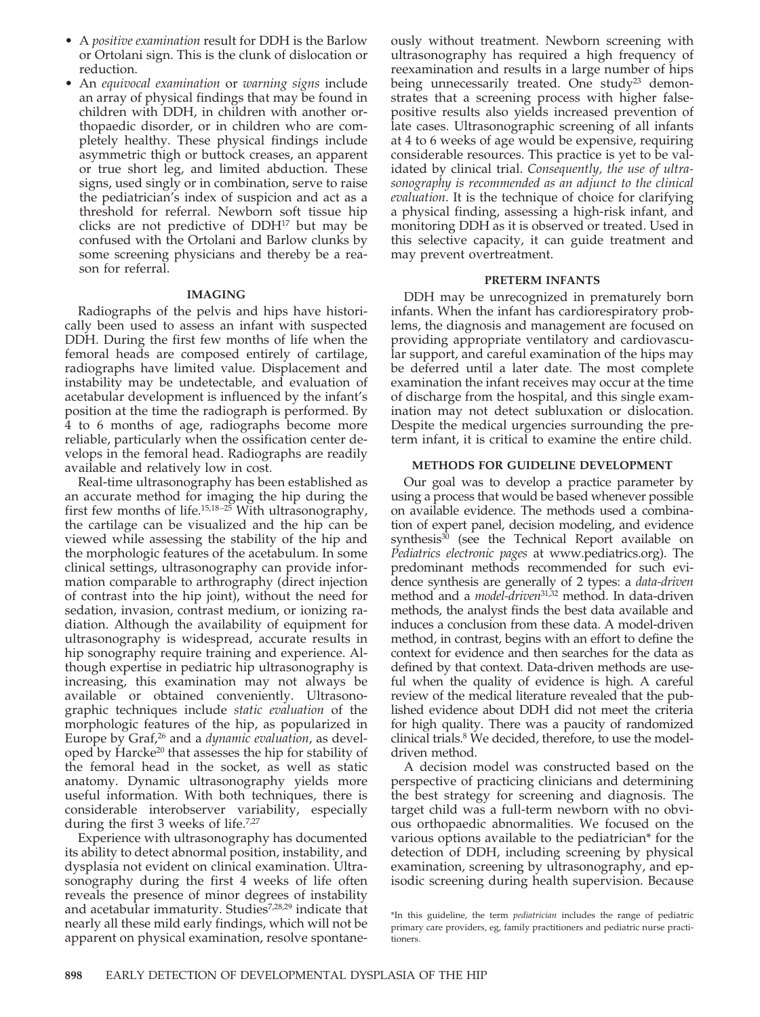- A *positive examination* result for DDH is the Barlow or Ortolani sign. This is the clunk of dislocation or reduction.
- An *equivocal examination* or *warning signs* include an array of physical findings that may be found in children with DDH, in children with another orthopaedic disorder, or in children who are completely healthy. These physical findings include asymmetric thigh or buttock creases, an apparent or true short leg, and limited abduction. These signs, used singly or in combination, serve to raise the pediatrician's index of suspicion and act as a threshold for referral. Newborn soft tissue hip clicks are not predictive of DDH17 but may be confused with the Ortolani and Barlow clunks by some screening physicians and thereby be a reason for referral.

### **IMAGING**

Radiographs of the pelvis and hips have historically been used to assess an infant with suspected DDH. During the first few months of life when the femoral heads are composed entirely of cartilage, radiographs have limited value. Displacement and instability may be undetectable, and evaluation of acetabular development is influenced by the infant's position at the time the radiograph is performed. By 4 to 6 months of age, radiographs become more reliable, particularly when the ossification center develops in the femoral head. Radiographs are readily available and relatively low in cost.

Real-time ultrasonography has been established as an accurate method for imaging the hip during the first few months of life.15,18–25 With ultrasonography, the cartilage can be visualized and the hip can be viewed while assessing the stability of the hip and the morphologic features of the acetabulum. In some clinical settings, ultrasonography can provide information comparable to arthrography (direct injection of contrast into the hip joint), without the need for sedation, invasion, contrast medium, or ionizing radiation. Although the availability of equipment for ultrasonography is widespread, accurate results in hip sonography require training and experience. Although expertise in pediatric hip ultrasonography is increasing, this examination may not always be available or obtained conveniently. Ultrasonographic techniques include *static evaluation* of the morphologic features of the hip, as popularized in Europe by Graf,<sup>26</sup> and a *dynamic evaluation*, as developed by Harcke20 that assesses the hip for stability of the femoral head in the socket, as well as static anatomy. Dynamic ultrasonography yields more useful information. With both techniques, there is considerable interobserver variability, especially during the first 3 weeks of life.<sup>7,27</sup>

Experience with ultrasonography has documented its ability to detect abnormal position, instability, and dysplasia not evident on clinical examination. Ultrasonography during the first 4 weeks of life often reveals the presence of minor degrees of instability and acetabular immaturity. Studies<sup>7,28,29</sup> indicate that nearly all these mild early findings, which will not be apparent on physical examination, resolve spontane-

ously without treatment. Newborn screening with ultrasonography has required a high frequency of reexamination and results in a large number of hips being unnecessarily treated. One study<sup>23</sup> demonstrates that a screening process with higher falsepositive results also yields increased prevention of late cases. Ultrasonographic screening of all infants at 4 to 6 weeks of age would be expensive, requiring considerable resources. This practice is yet to be validated by clinical trial. *Consequently, the use of ultrasonography is recommended as an adjunct to the clinical evaluation*. It is the technique of choice for clarifying a physical finding, assessing a high-risk infant, and monitoring DDH as it is observed or treated. Used in this selective capacity, it can guide treatment and may prevent overtreatment.

### **PRETERM INFANTS**

DDH may be unrecognized in prematurely born infants. When the infant has cardiorespiratory problems, the diagnosis and management are focused on providing appropriate ventilatory and cardiovascular support, and careful examination of the hips may be deferred until a later date. The most complete examination the infant receives may occur at the time of discharge from the hospital, and this single examination may not detect subluxation or dislocation. Despite the medical urgencies surrounding the preterm infant, it is critical to examine the entire child.

### **METHODS FOR GUIDELINE DEVELOPMENT**

Our goal was to develop a practice parameter by using a process that would be based whenever possible on available evidence. The methods used a combination of expert panel, decision modeling, and evidence synthesis<sup>30</sup> (see the Technical Report available on *Pediatrics electronic pages* at www.pediatrics.org). The predominant methods recommended for such evidence synthesis are generally of 2 types: a *data-driven* method and a *model-driven*31,32 method. In data-driven methods, the analyst finds the best data available and induces a conclusion from these data. A model-driven method, in contrast, begins with an effort to define the context for evidence and then searches for the data as defined by that context. Data-driven methods are useful when the quality of evidence is high. A careful review of the medical literature revealed that the published evidence about DDH did not meet the criteria for high quality. There was a paucity of randomized clinical trials.8 We decided, therefore, to use the modeldriven method.

A decision model was constructed based on the perspective of practicing clinicians and determining the best strategy for screening and diagnosis. The target child was a full-term newborn with no obvious orthopaedic abnormalities. We focused on the various options available to the pediatrician\* for the detection of DDH, including screening by physical examination, screening by ultrasonography, and episodic screening during health supervision. Because

<sup>\*</sup>In this guideline, the term *pediatrician* includes the range of pediatric primary care providers, eg, family practitioners and pediatric nurse practitioners.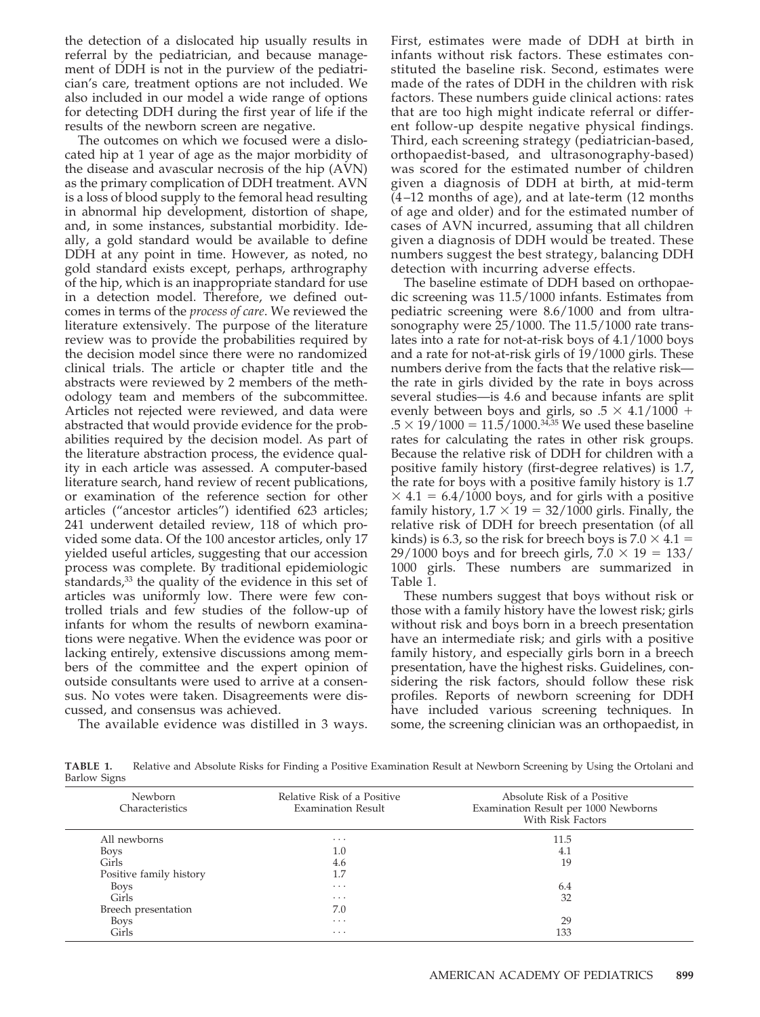the detection of a dislocated hip usually results in referral by the pediatrician, and because management of DDH is not in the purview of the pediatrician's care, treatment options are not included. We also included in our model a wide range of options for detecting DDH during the first year of life if the results of the newborn screen are negative.

The outcomes on which we focused were a dislocated hip at 1 year of age as the major morbidity of the disease and avascular necrosis of the hip (AVN) as the primary complication of DDH treatment. AVN is a loss of blood supply to the femoral head resulting in abnormal hip development, distortion of shape, and, in some instances, substantial morbidity. Ideally, a gold standard would be available to define DDH at any point in time. However, as noted, no gold standard exists except, perhaps, arthrography of the hip, which is an inappropriate standard for use in a detection model. Therefore, we defined outcomes in terms of the *process of care*. We reviewed the literature extensively. The purpose of the literature review was to provide the probabilities required by the decision model since there were no randomized clinical trials. The article or chapter title and the abstracts were reviewed by 2 members of the methodology team and members of the subcommittee. Articles not rejected were reviewed, and data were abstracted that would provide evidence for the probabilities required by the decision model. As part of the literature abstraction process, the evidence quality in each article was assessed. A computer-based literature search, hand review of recent publications, or examination of the reference section for other articles ("ancestor articles") identified 623 articles; 241 underwent detailed review, 118 of which provided some data. Of the 100 ancestor articles, only 17 yielded useful articles, suggesting that our accession process was complete. By traditional epidemiologic standards, $33$  the quality of the evidence in this set of articles was uniformly low. There were few controlled trials and few studies of the follow-up of infants for whom the results of newborn examinations were negative. When the evidence was poor or lacking entirely, extensive discussions among members of the committee and the expert opinion of outside consultants were used to arrive at a consensus. No votes were taken. Disagreements were discussed, and consensus was achieved.

The available evidence was distilled in 3 ways.

First, estimates were made of DDH at birth in infants without risk factors. These estimates constituted the baseline risk. Second, estimates were made of the rates of DDH in the children with risk factors. These numbers guide clinical actions: rates that are too high might indicate referral or different follow-up despite negative physical findings. Third, each screening strategy (pediatrician-based, orthopaedist-based, and ultrasonography-based) was scored for the estimated number of children given a diagnosis of DDH at birth, at mid-term  $(4-12$  months of age), and at late-term  $(12 \text{ months})$ of age and older) and for the estimated number of cases of AVN incurred, assuming that all children given a diagnosis of DDH would be treated. These numbers suggest the best strategy, balancing DDH detection with incurring adverse effects.

The baseline estimate of DDH based on orthopaedic screening was 11.5/1000 infants. Estimates from pediatric screening were 8.6/1000 and from ultrasonography were 25/1000. The 11.5/1000 rate translates into a rate for not-at-risk boys of 4.1/1000 boys and a rate for not-at-risk girls of 19/1000 girls. These numbers derive from the facts that the relative risk the rate in girls divided by the rate in boys across several studies—is 4.6 and because infants are split evenly between boys and girls, so  $.5 \times 4.1/1000 +$  $.5 \times 19/1000 = 11.5/1000$ .<sup>34,35</sup> We used these baseline rates for calculating the rates in other risk groups. Because the relative risk of DDH for children with a positive family history (first-degree relatives) is 1.7, the rate for boys with a positive family history is 1.7  $\times$  4.1 = 6.4/1000 boys, and for girls with a positive family history,  $1.7 \times 19 = 32/1000$  girls. Finally, the relative risk of DDH for breech presentation (of all kinds) is 6.3, so the risk for breech boys is  $7.0 \times 4.1 =$ 29/1000 boys and for breech girls,  $7.0 \times 19 = 133/$ 1000 girls. These numbers are summarized in Table 1.

These numbers suggest that boys without risk or those with a family history have the lowest risk; girls without risk and boys born in a breech presentation have an intermediate risk; and girls with a positive family history, and especially girls born in a breech presentation, have the highest risks. Guidelines, considering the risk factors, should follow these risk profiles. Reports of newborn screening for DDH have included various screening techniques. In some, the screening clinician was an orthopaedist, in

**TABLE 1.** Relative and Absolute Risks for Finding a Positive Examination Result at Newborn Screening by Using the Ortolani and Barlow Signs

| Newborn<br>Characteristics | Relative Risk of a Positive<br><b>Examination Result</b> | Absolute Risk of a Positive<br>Examination Result per 1000 Newborns<br>With Risk Factors |
|----------------------------|----------------------------------------------------------|------------------------------------------------------------------------------------------|
| All newborns               | $\cdot$                                                  | 11.5                                                                                     |
| <b>Boys</b>                | 1.0                                                      | 4.1                                                                                      |
| Girls                      | 4.6                                                      | 19                                                                                       |
| Positive family history    | 1.7                                                      |                                                                                          |
| <b>Boys</b>                | $\cdot$ $\cdot$ $\cdot$                                  | 6.4                                                                                      |
| Girls                      | $\cdot$                                                  | 32                                                                                       |
| Breech presentation        | 7.0                                                      |                                                                                          |
| <b>Boys</b>                | $\cdot$                                                  | 29                                                                                       |
| Girls                      | $\cdot$ $\cdot$ $\cdot$                                  | 133                                                                                      |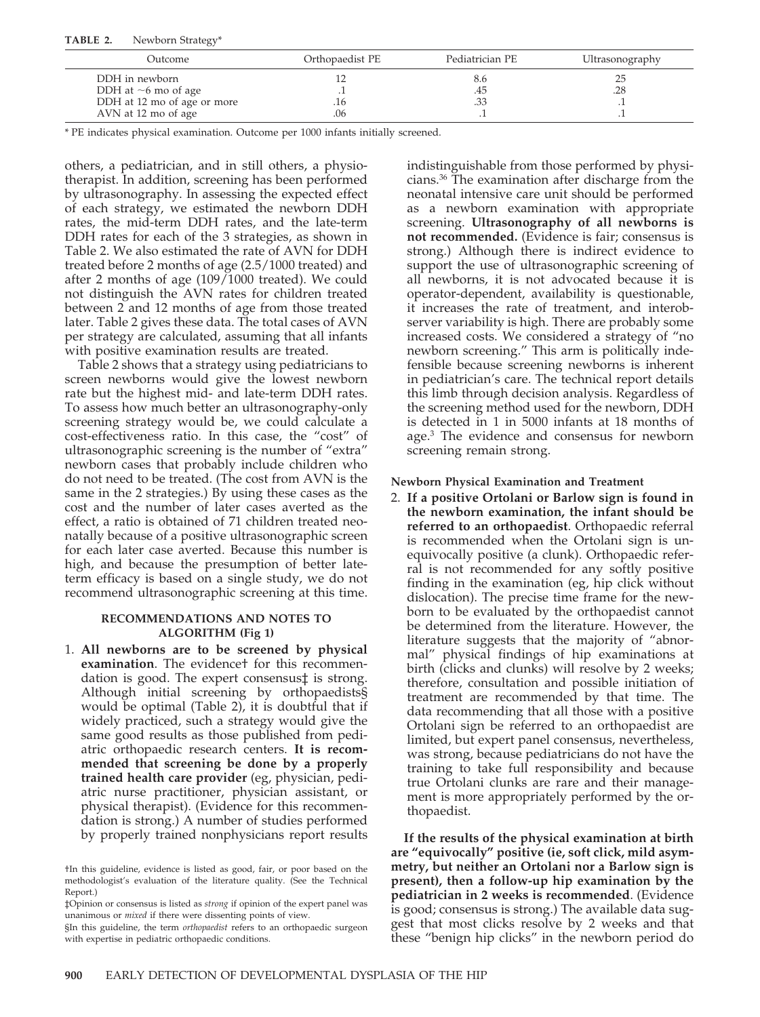| TABLE 2. |  | Newborn Strategy* |  |
|----------|--|-------------------|--|
|----------|--|-------------------|--|

| Outcome                                            | Orthopaedist PE | Pediatrician PE | Ultrasonography |
|----------------------------------------------------|-----------------|-----------------|-----------------|
| DDH in newborn<br>DDH at $\sim$ 6 mo of age        |                 | 8.b<br>.45      | .28             |
| DDH at 12 mo of age or more<br>AVN at 12 mo of age | .16<br>.06      |                 |                 |

\* PE indicates physical examination. Outcome per 1000 infants initially screened.

others, a pediatrician, and in still others, a physiotherapist. In addition, screening has been performed by ultrasonography. In assessing the expected effect of each strategy, we estimated the newborn DDH rates, the mid-term DDH rates, and the late-term DDH rates for each of the 3 strategies, as shown in Table 2. We also estimated the rate of AVN for DDH treated before 2 months of age (2.5/1000 treated) and after 2 months of age (109/1000 treated). We could not distinguish the AVN rates for children treated between 2 and 12 months of age from those treated later. Table 2 gives these data. The total cases of AVN per strategy are calculated, assuming that all infants with positive examination results are treated.

Table 2 shows that a strategy using pediatricians to screen newborns would give the lowest newborn rate but the highest mid- and late-term DDH rates. To assess how much better an ultrasonography-only screening strategy would be, we could calculate a cost-effectiveness ratio. In this case, the "cost" of ultrasonographic screening is the number of "extra" newborn cases that probably include children who do not need to be treated. (The cost from AVN is the same in the 2 strategies.) By using these cases as the cost and the number of later cases averted as the effect, a ratio is obtained of 71 children treated neonatally because of a positive ultrasonographic screen for each later case averted. Because this number is high, and because the presumption of better lateterm efficacy is based on a single study, we do not recommend ultrasonographic screening at this time.

# **RECOMMENDATIONS AND NOTES TO ALGORITHM (Fig 1)**

1. **All newborns are to be screened by physical examination**. The evidence† for this recommendation is good. The expert consensus‡ is strong. Although initial screening by orthopaedists§ would be optimal (Table 2), it is doubtful that if widely practiced, such a strategy would give the same good results as those published from pediatric orthopaedic research centers. **It is recommended that screening be done by a properly trained health care provider** (eg, physician, pediatric nurse practitioner, physician assistant, or physical therapist). (Evidence for this recommendation is strong.) A number of studies performed by properly trained nonphysicians report results

indistinguishable from those performed by physicians.36 The examination after discharge from the neonatal intensive care unit should be performed as a newborn examination with appropriate screening. **Ultrasonography of all newborns is not recommended.** (Evidence is fair; consensus is strong.) Although there is indirect evidence to support the use of ultrasonographic screening of all newborns, it is not advocated because it is operator-dependent, availability is questionable, it increases the rate of treatment, and interobserver variability is high. There are probably some increased costs. We considered a strategy of "no newborn screening." This arm is politically indefensible because screening newborns is inherent in pediatrician's care. The technical report details this limb through decision analysis. Regardless of the screening method used for the newborn, DDH is detected in 1 in 5000 infants at 18 months of age.3 The evidence and consensus for newborn screening remain strong.

### **Newborn Physical Examination and Treatment**

2. **If a positive Ortolani or Barlow sign is found in the newborn examination, the infant should be referred to an orthopaedist**. Orthopaedic referral is recommended when the Ortolani sign is unequivocally positive (a clunk). Orthopaedic referral is not recommended for any softly positive finding in the examination (eg, hip click without dislocation). The precise time frame for the newborn to be evaluated by the orthopaedist cannot be determined from the literature. However, the literature suggests that the majority of "abnormal" physical findings of hip examinations at birth (clicks and clunks) will resolve by 2 weeks; therefore, consultation and possible initiation of treatment are recommended by that time. The data recommending that all those with a positive Ortolani sign be referred to an orthopaedist are limited, but expert panel consensus, nevertheless, was strong, because pediatricians do not have the training to take full responsibility and because true Ortolani clunks are rare and their management is more appropriately performed by the orthopaedist.

**If the results of the physical examination at birth are "equivocally" positive (ie, soft click, mild asymmetry, but neither an Ortolani nor a Barlow sign is present), then a follow-up hip examination by the pediatrician in 2 weeks is recommended**. (Evidence is good; consensus is strong.) The available data suggest that most clicks resolve by 2 weeks and that these "benign hip clicks" in the newborn period do

<sup>†</sup>In this guideline, evidence is listed as good, fair, or poor based on the methodologist's evaluation of the literature quality. (See the Technical Report.)

<sup>‡</sup>Opinion or consensus is listed as *strong* if opinion of the expert panel was unanimous or *mixed* if there were dissenting points of view.

<sup>§</sup>In this guideline, the term *orthopaedist* refers to an orthopaedic surgeon with expertise in pediatric orthopaedic conditions.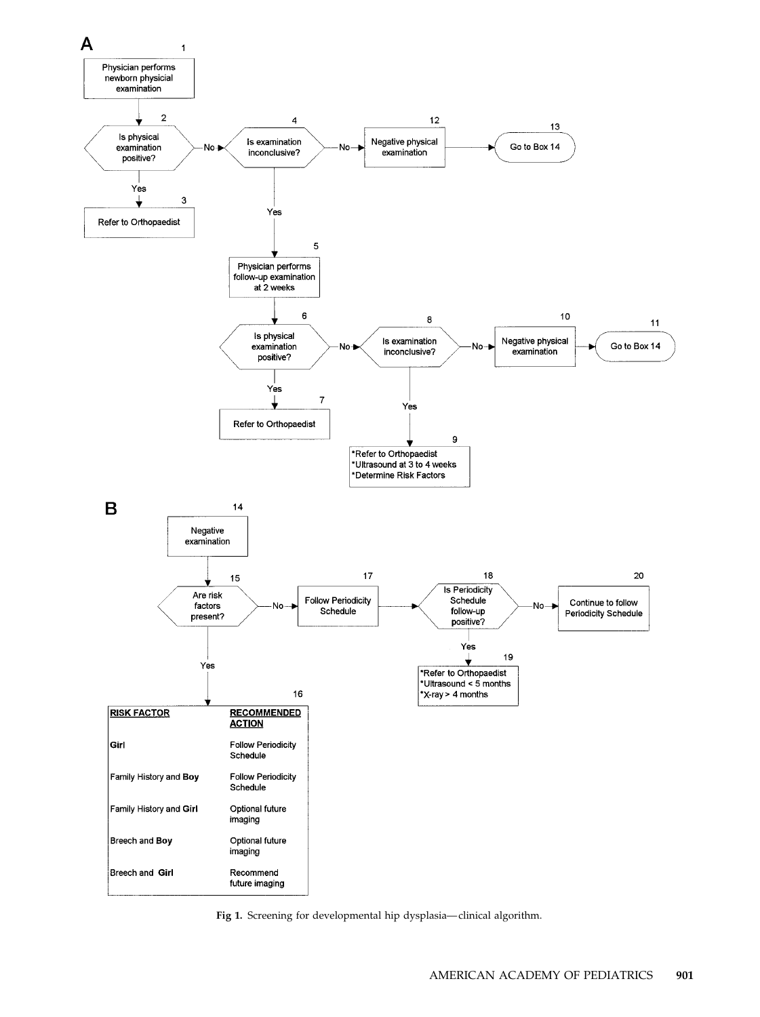

**Fig 1.** Screening for developmental hip dysplasia—clinical algorithm.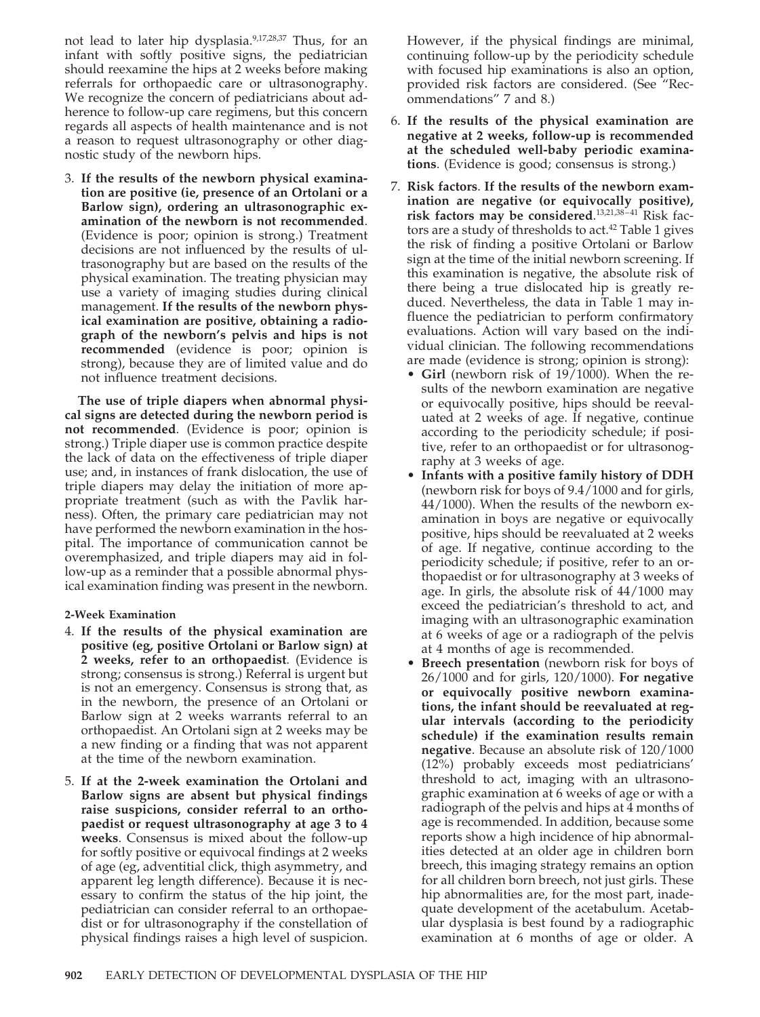not lead to later hip dysplasia.9,17,28,37 Thus, for an infant with softly positive signs, the pediatrician should reexamine the hips at 2 weeks before making referrals for orthopaedic care or ultrasonography. We recognize the concern of pediatricians about adherence to follow-up care regimens, but this concern regards all aspects of health maintenance and is not a reason to request ultrasonography or other diagnostic study of the newborn hips.

3. **If the results of the newborn physical examination are positive (ie, presence of an Ortolani or a Barlow sign), ordering an ultrasonographic examination of the newborn is not recommended**. (Evidence is poor; opinion is strong.) Treatment decisions are not influenced by the results of ultrasonography but are based on the results of the physical examination. The treating physician may use a variety of imaging studies during clinical management. **If the results of the newborn physical examination are positive, obtaining a radiograph of the newborn's pelvis and hips is not recommended** (evidence is poor; opinion is strong), because they are of limited value and do not influence treatment decisions.

**The use of triple diapers when abnormal physical signs are detected during the newborn period is not recommended**. (Evidence is poor; opinion is strong.) Triple diaper use is common practice despite the lack of data on the effectiveness of triple diaper use; and, in instances of frank dislocation, the use of triple diapers may delay the initiation of more appropriate treatment (such as with the Pavlik harness). Often, the primary care pediatrician may not have performed the newborn examination in the hospital. The importance of communication cannot be overemphasized, and triple diapers may aid in follow-up as a reminder that a possible abnormal physical examination finding was present in the newborn.

# **2-Week Examination**

- 4. **If the results of the physical examination are positive (eg, positive Ortolani or Barlow sign) at 2 weeks, refer to an orthopaedist**. (Evidence is strong; consensus is strong.) Referral is urgent but is not an emergency. Consensus is strong that, as in the newborn, the presence of an Ortolani or Barlow sign at 2 weeks warrants referral to an orthopaedist. An Ortolani sign at 2 weeks may be a new finding or a finding that was not apparent at the time of the newborn examination.
- 5. **If at the 2-week examination the Ortolani and Barlow signs are absent but physical findings raise suspicions, consider referral to an orthopaedist or request ultrasonography at age 3 to 4 weeks**. Consensus is mixed about the follow-up for softly positive or equivocal findings at 2 weeks of age (eg, adventitial click, thigh asymmetry, and apparent leg length difference). Because it is necessary to confirm the status of the hip joint, the pediatrician can consider referral to an orthopaedist or for ultrasonography if the constellation of physical findings raises a high level of suspicion.

However, if the physical findings are minimal, continuing follow-up by the periodicity schedule with focused hip examinations is also an option, provided risk factors are considered. (See "Recommendations" 7 and 8.)

- 6. **If the results of the physical examination are negative at 2 weeks, follow-up is recommended at the scheduled well-baby periodic examinations**. (Evidence is good; consensus is strong.)
- 7. **Risk factors**. **If the results of the newborn examination are negative (or equivocally positive), risk factors may be considered**. 13,21,38–41 Risk factors are a study of thresholds to act.<sup>42</sup> Table 1 gives the risk of finding a positive Ortolani or Barlow sign at the time of the initial newborn screening. If this examination is negative, the absolute risk of there being a true dislocated hip is greatly reduced. Nevertheless, the data in Table 1 may influence the pediatrician to perform confirmatory evaluations. Action will vary based on the individual clinician. The following recommendations are made (evidence is strong; opinion is strong):
	- **Girl** (newborn risk of 19/1000). When the results of the newborn examination are negative or equivocally positive, hips should be reevaluated at 2 weeks of age. If negative, continue according to the periodicity schedule; if positive, refer to an orthopaedist or for ultrasonography at 3 weeks of age.
	- **Infants with a positive family history of DDH** (newborn risk for boys of 9.4/1000 and for girls, 44/1000). When the results of the newborn examination in boys are negative or equivocally positive, hips should be reevaluated at 2 weeks of age. If negative, continue according to the periodicity schedule; if positive, refer to an orthopaedist or for ultrasonography at 3 weeks of age. In girls, the absolute risk of 44/1000 may exceed the pediatrician's threshold to act, and imaging with an ultrasonographic examination at 6 weeks of age or a radiograph of the pelvis at 4 months of age is recommended.
	- **Breech presentation** (newborn risk for boys of 26/1000 and for girls, 120/1000). **For negative or equivocally positive newborn examinations, the infant should be reevaluated at regular intervals (according to the periodicity schedule) if the examination results remain negative**. Because an absolute risk of 120/1000 (12%) probably exceeds most pediatricians' threshold to act, imaging with an ultrasonographic examination at 6 weeks of age or with a radiograph of the pelvis and hips at 4 months of age is recommended. In addition, because some reports show a high incidence of hip abnormalities detected at an older age in children born breech, this imaging strategy remains an option for all children born breech, not just girls. These hip abnormalities are, for the most part, inadequate development of the acetabulum. Acetabular dysplasia is best found by a radiographic examination at 6 months of age or older. A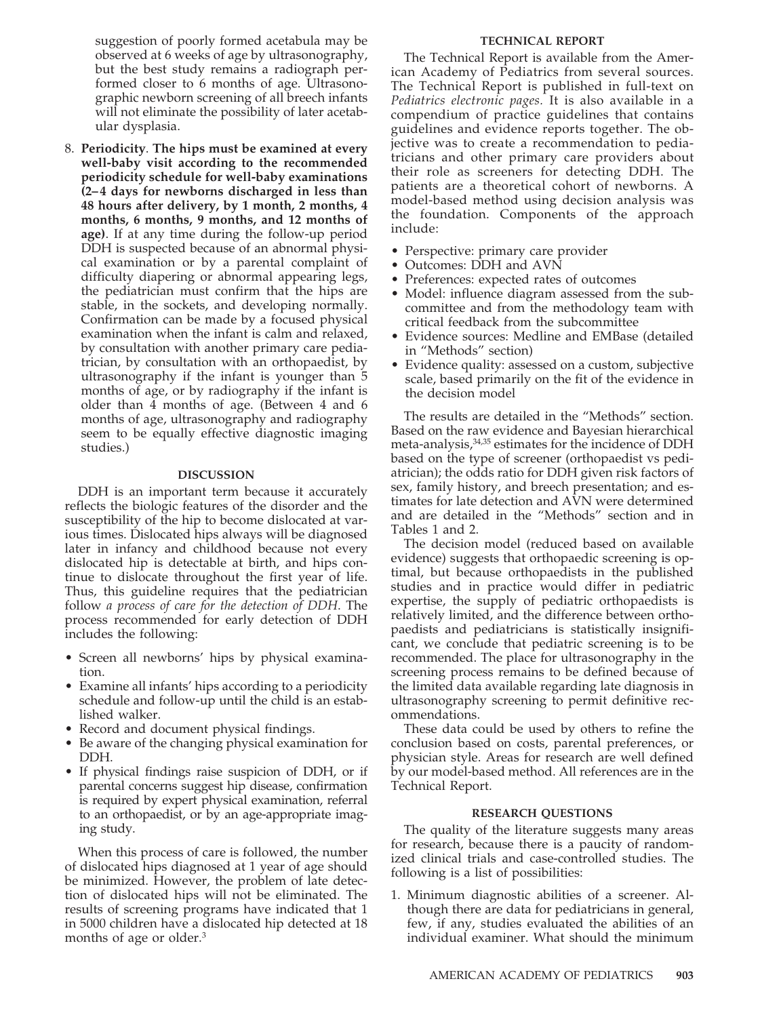suggestion of poorly formed acetabula may be observed at 6 weeks of age by ultrasonography, but the best study remains a radiograph performed closer to 6 months of age. Ultrasonographic newborn screening of all breech infants will not eliminate the possibility of later acetabular dysplasia.

8. **Periodicity**. **The hips must be examined at every well-baby visit according to the recommended periodicity schedule for well-baby examinations (2–4 days for newborns discharged in less than 48 hours after delivery, by 1 month, 2 months, 4 months, 6 months, 9 months, and 12 months of age)**. If at any time during the follow-up period DDH is suspected because of an abnormal physical examination or by a parental complaint of difficulty diapering or abnormal appearing legs, the pediatrician must confirm that the hips are stable, in the sockets, and developing normally. Confirmation can be made by a focused physical examination when the infant is calm and relaxed, by consultation with another primary care pediatrician, by consultation with an orthopaedist, by ultrasonography if the infant is younger than 5 months of age, or by radiography if the infant is older than 4 months of age. (Between 4 and 6 months of age, ultrasonography and radiography seem to be equally effective diagnostic imaging studies.)

# **DISCUSSION**

DDH is an important term because it accurately reflects the biologic features of the disorder and the susceptibility of the hip to become dislocated at various times. Dislocated hips always will be diagnosed later in infancy and childhood because not every dislocated hip is detectable at birth, and hips continue to dislocate throughout the first year of life. Thus, this guideline requires that the pediatrician follow *a process of care for the detection of DDH*. The process recommended for early detection of DDH includes the following:

- Screen all newborns' hips by physical examination.
- Examine all infants' hips according to a periodicity schedule and follow-up until the child is an established walker.
- Record and document physical findings.
- Be aware of the changing physical examination for DDH.
- If physical findings raise suspicion of DDH, or if parental concerns suggest hip disease, confirmation is required by expert physical examination, referral to an orthopaedist, or by an age-appropriate imaging study.

When this process of care is followed, the number of dislocated hips diagnosed at 1 year of age should be minimized. However, the problem of late detection of dislocated hips will not be eliminated. The results of screening programs have indicated that 1 in 5000 children have a dislocated hip detected at 18 months of age or older.<sup>3</sup>

# **TECHNICAL REPORT**

The Technical Report is available from the American Academy of Pediatrics from several sources. The Technical Report is published in full-text on *Pediatrics electronic pages.* It is also available in a compendium of practice guidelines that contains guidelines and evidence reports together. The objective was to create a recommendation to pediatricians and other primary care providers about their role as screeners for detecting DDH. The patients are a theoretical cohort of newborns. A model-based method using decision analysis was the foundation. Components of the approach include:

- Perspective: primary care provider
- Outcomes: DDH and AVN
- Preferences: expected rates of outcomes
- Model: influence diagram assessed from the subcommittee and from the methodology team with critical feedback from the subcommittee
- Evidence sources: Medline and EMBase (detailed in "Methods" section)
- Evidence quality: assessed on a custom, subjective scale, based primarily on the fit of the evidence in the decision model

The results are detailed in the "Methods" section. Based on the raw evidence and Bayesian hierarchical meta-analysis,<sup>34,35</sup> estimates for the incidence of DDH based on the type of screener (orthopaedist vs pediatrician); the odds ratio for DDH given risk factors of sex, family history, and breech presentation; and estimates for late detection and AVN were determined and are detailed in the "Methods" section and in Tables 1 and 2.

The decision model (reduced based on available evidence) suggests that orthopaedic screening is optimal, but because orthopaedists in the published studies and in practice would differ in pediatric expertise, the supply of pediatric orthopaedists is relatively limited, and the difference between orthopaedists and pediatricians is statistically insignificant, we conclude that pediatric screening is to be recommended. The place for ultrasonography in the screening process remains to be defined because of the limited data available regarding late diagnosis in ultrasonography screening to permit definitive recommendations.

These data could be used by others to refine the conclusion based on costs, parental preferences, or physician style. Areas for research are well defined by our model-based method. All references are in the Technical Report.

# **RESEARCH QUESTIONS**

The quality of the literature suggests many areas for research, because there is a paucity of randomized clinical trials and case-controlled studies. The following is a list of possibilities:

1. Minimum diagnostic abilities of a screener. Although there are data for pediatricians in general, few, if any, studies evaluated the abilities of an individual examiner. What should the minimum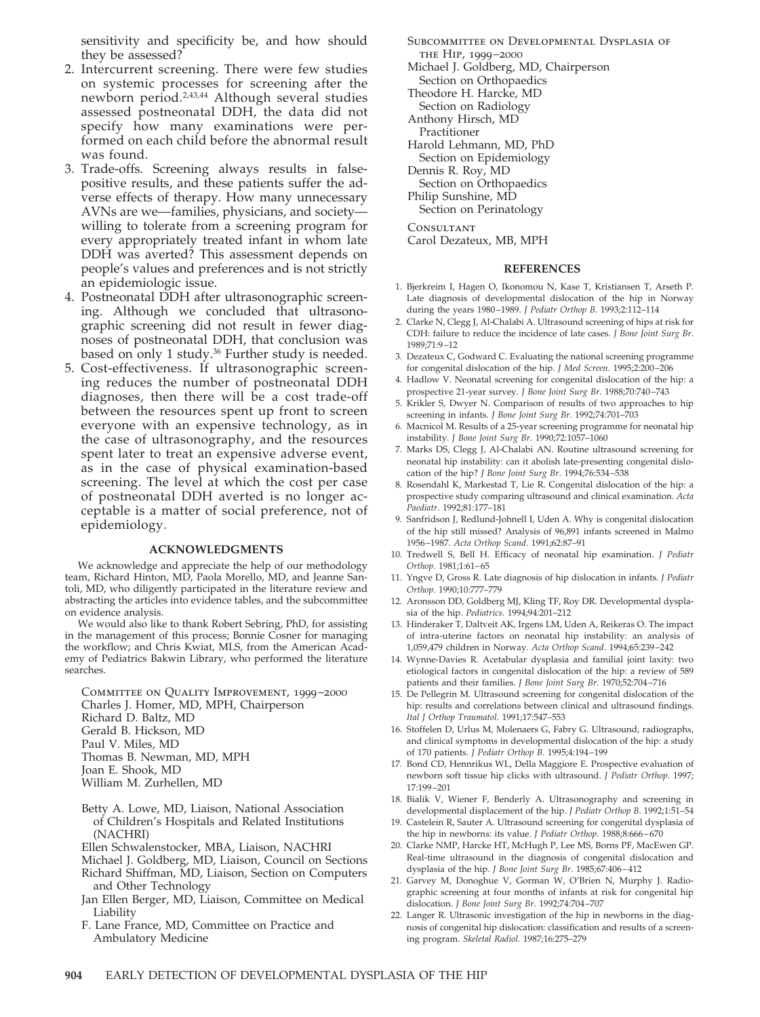sensitivity and specificity be, and how should they be assessed?

- 2. Intercurrent screening. There were few studies on systemic processes for screening after the newborn period.2,43,44 Although several studies assessed postneonatal DDH, the data did not specify how many examinations were performed on each child before the abnormal result was found.
- 3. Trade-offs. Screening always results in falsepositive results, and these patients suffer the adverse effects of therapy. How many unnecessary AVNs are we—families, physicians, and society willing to tolerate from a screening program for every appropriately treated infant in whom late DDH was averted? This assessment depends on people's values and preferences and is not strictly an epidemiologic issue.
- 4. Postneonatal DDH after ultrasonographic screening. Although we concluded that ultrasonographic screening did not result in fewer diagnoses of postneonatal DDH, that conclusion was based on only 1 study.<sup>36</sup> Further study is needed.
- 5. Cost-effectiveness. If ultrasonographic screening reduces the number of postneonatal DDH diagnoses, then there will be a cost trade-off between the resources spent up front to screen everyone with an expensive technology, as in the case of ultrasonography, and the resources spent later to treat an expensive adverse event, as in the case of physical examination-based screening. The level at which the cost per case of postneonatal DDH averted is no longer acceptable is a matter of social preference, not of epidemiology.

#### **ACKNOWLEDGMENTS**

We acknowledge and appreciate the help of our methodology team, Richard Hinton, MD, Paola Morello, MD, and Jeanne Santoli, MD, who diligently participated in the literature review and abstracting the articles into evidence tables, and the subcommittee on evidence analysis.

We would also like to thank Robert Sebring, PhD, for assisting in the management of this process; Bonnie Cosner for managing the workflow; and Chris Kwiat, MLS, from the American Academy of Pediatrics Bakwin Library, who performed the literature searches.

Committee on Quality Improvement, 1999–2000 Charles J. Homer, MD, MPH, Chairperson Richard D. Baltz, MD Gerald B. Hickson, MD Paul V. Miles, MD Thomas B. Newman, MD, MPH Joan E. Shook, MD William M. Zurhellen, MD

Betty A. Lowe, MD, Liaison, National Association of Children's Hospitals and Related Institutions (NACHRI)

Ellen Schwalenstocker, MBA, Liaison, NACHRI

- Michael J. Goldberg, MD, Liaison, Council on Sections Richard Shiffman, MD, Liaison, Section on Computers and Other Technology
- Jan Ellen Berger, MD, Liaison, Committee on Medical Liability
- F. Lane France, MD, Committee on Practice and Ambulatory Medicine

Subcommittee on Developmental Dysplasia of the Hip, 1999–2000

- Michael J. Goldberg, MD, Chairperson Section on Orthopaedics
- Theodore H. Harcke, MD Section on Radiology
- Anthony Hirsch, MD
- Practitioner
- Harold Lehmann, MD, PhD
- Section on Epidemiology Dennis R. Roy, MD
- Section on Orthopaedics
- Philip Sunshine, MD Section on Perinatology

Consultant

Carol Dezateux, MB, MPH

### **REFERENCES**

- 1. Bjerkreim I, Hagen O, Ikonomou N, Kase T, Kristiansen T, Arseth P. Late diagnosis of developmental dislocation of the hip in Norway during the years 1980–1989. *J Pediatr Orthop B*. 1993;2:112–114
- 2. Clarke N, Clegg J, Al-Chalabi A. Ultrasound screening of hips at risk for CDH: failure to reduce the incidence of late cases. *J Bone Joint Surg Br*. 1989;71:9–12
- 3. Dezateux C, Godward C. Evaluating the national screening programme for congenital dislocation of the hip. *J Med Screen*. 1995;2:200–206
- 4. Hadlow V. Neonatal screening for congenital dislocation of the hip: a prospective 21-year survey. *J Bone Joint Surg Br*. 1988;70:740–743
- 5. Krikler S, Dwyer N. Comparison of results of two approaches to hip screening in infants. *J Bone Joint Surg Br*. 1992;74:701–703
- 6. Macnicol M. Results of a 25-year screening programme for neonatal hip instability. *J Bone Joint Surg Br*. 1990;72:1057–1060
- 7. Marks DS, Clegg J, Al-Chalabi AN. Routine ultrasound screening for neonatal hip instability: can it abolish late-presenting congenital dislocation of the hip? *J Bone Joint Surg Br*. 1994;76:534–538
- 8. Rosendahl K, Markestad T, Lie R. Congenital dislocation of the hip: a prospective study comparing ultrasound and clinical examination. *Acta Paediatr*. 1992;81:177–181
- 9. Sanfridson J, Redlund-Johnell I, Uden A. Why is congenital dislocation of the hip still missed? Analysis of 96,891 infants screened in Malmo 1956–1987. *Acta Orthop Scand*. 1991;62:87–91
- 10. Tredwell S, Bell H. Efficacy of neonatal hip examination. *J Pediatr Orthop*. 1981;1:61–65
- 11. Yngve D, Gross R. Late diagnosis of hip dislocation in infants. *J Pediatr Orthop*. 1990;10:777–779
- 12. Aronsson DD, Goldberg MJ, Kling TF, Roy DR. Developmental dysplasia of the hip. *Pediatrics*. 1994;94:201–212
- 13. Hinderaker T, Daltveit AK, Irgens LM, Uden A, Reikeras O. The impact of intra-uterine factors on neonatal hip instability: an analysis of 1,059,479 children in Norway. *Acta Orthop Scand*. 1994;65:239–242
- 14. Wynne-Davies R. Acetabular dysplasia and familial joint laxity: two etiological factors in congenital dislocation of the hip: a review of 589 patients and their families. *J Bone Joint Surg Br*. 1970;52:704–716
- 15. De Pellegrin M. Ultrasound screening for congenital dislocation of the hip: results and correlations between clinical and ultrasound findings. *Ital J Orthop Traumatol*. 1991;17:547–553
- 16. Stoffelen D, Urlus M, Molenaers G, Fabry G. Ultrasound, radiographs, and clinical symptoms in developmental dislocation of the hip: a study of 170 patients. *J Pediatr Orthop B*. 1995;4:194–199
- 17. Bond CD, Hennrikus WL, Della Maggiore E. Prospective evaluation of newborn soft tissue hip clicks with ultrasound. *J Pediatr Orthop*. 1997; 17:199–201
- 18. Bialik V, Wiener F, Benderly A. Ultrasonography and screening in developmental displacement of the hip. *J Pediatr Orthop B*. 1992;1:51–54
- 19. Castelein R, Sauter A. Ultrasound screening for congenital dysplasia of the hip in newborns: its value. *J Pediatr Orthop*. 1988;8:666–670
- 20. Clarke NMP, Harcke HT, McHugh P, Lee MS, Borns PF, MacEwen GP. Real-time ultrasound in the diagnosis of congenital dislocation and dysplasia of the hip. *J Bone Joint Surg Br*. 1985;67:406–412
- 21. Garvey M, Donoghue V, Gorman W, O'Brien N, Murphy J. Radiographic screening at four months of infants at risk for congenital hip dislocation. *J Bone Joint Surg Br*. 1992;74:704–707
- 22. Langer R. Ultrasonic investigation of the hip in newborns in the diagnosis of congenital hip dislocation: classification and results of a screening program. *Skeletal Radiol*. 1987;16:275–279